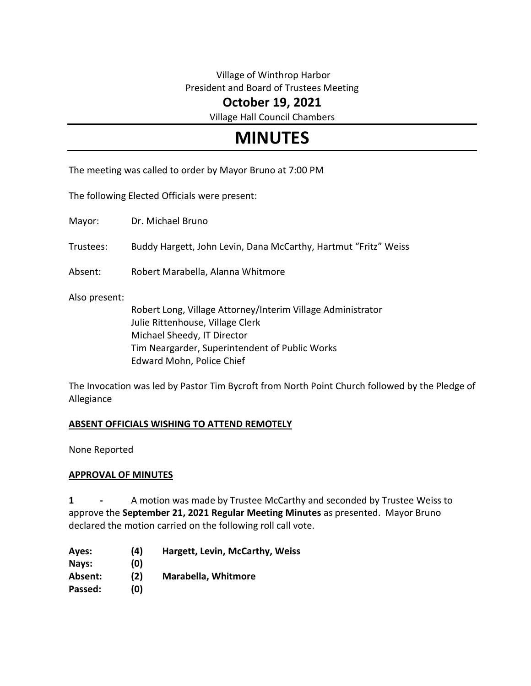## Village of Winthrop Harbor President and Board of Trustees Meeting

## **October 19, 2021**

Village Hall Council Chambers

# **MINUTES**

The meeting was called to order by Mayor Bruno at 7:00 PM

The following Elected Officials were present:

Mayor: Dr. Michael Bruno

Trustees: Buddy Hargett, John Levin, Dana McCarthy, Hartmut "Fritz" Weiss

Absent: Robert Marabella, Alanna Whitmore

Also present:

Robert Long, Village Attorney/Interim Village Administrator Julie Rittenhouse, Village Clerk Michael Sheedy, IT Director Tim Neargarder, Superintendent of Public Works Edward Mohn, Police Chief

The Invocation was led by Pastor Tim Bycroft from North Point Church followed by the Pledge of Allegiance

## **ABSENT OFFICIALS WISHING TO ATTEND REMOTELY**

None Reported

#### **APPROVAL OF MINUTES**

**1 -** A motion was made by Trustee McCarthy and seconded by Trustee Weiss to approve the **September 21, 2021 Regular Meeting Minutes** as presented. Mayor Bruno declared the motion carried on the following roll call vote.

**Ayes: (4) Hargett, Levin, McCarthy, Weiss Nays: (0) Absent: (2) Marabella, Whitmore Passed: (0)**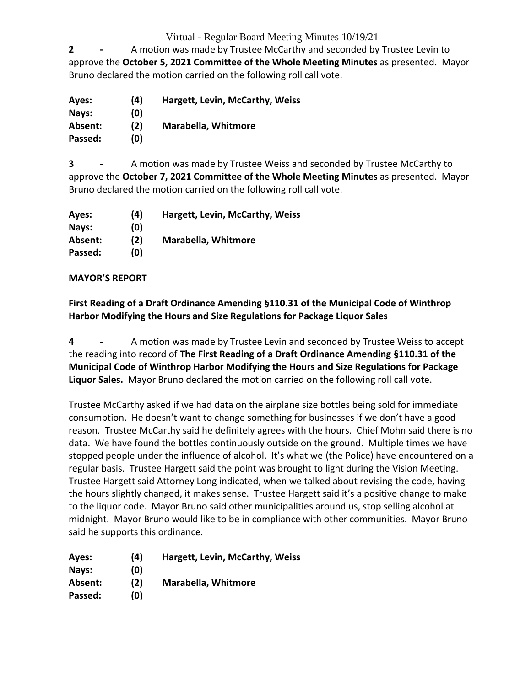## Virtual - Regular Board Meeting Minutes 10/19/21

**2 -** A motion was made by Trustee McCarthy and seconded by Trustee Levin to approve the **October 5, 2021 Committee of the Whole Meeting Minutes** as presented. Mayor Bruno declared the motion carried on the following roll call vote.

| Ayes:   | (4) | Hargett, Levin, McCarthy, Weiss |
|---------|-----|---------------------------------|
| Nays:   | (0) |                                 |
| Absent: | (2) | <b>Marabella, Whitmore</b>      |
| Passed: | (0) |                                 |

**3 -** A motion was made by Trustee Weiss and seconded by Trustee McCarthy to approve the **October 7, 2021 Committee of the Whole Meeting Minutes** as presented. Mayor Bruno declared the motion carried on the following roll call vote.

| Ayes:   | (4) | Hargett, Levin, McCarthy, Weiss |
|---------|-----|---------------------------------|
| Nays:   | (0) |                                 |
| Absent: | (2) | <b>Marabella, Whitmore</b>      |
| Passed: | (O) |                                 |

## **MAYOR'S REPORT**

**First Reading of a Draft Ordinance Amending §110.31 of the Municipal Code of Winthrop Harbor Modifying the Hours and Size Regulations for Package Liquor Sales**

**4 -** A motion was made by Trustee Levin and seconded by Trustee Weiss to accept the reading into record of **The First Reading of a Draft Ordinance Amending §110.31 of the Municipal Code of Winthrop Harbor Modifying the Hours and Size Regulations for Package Liquor Sales.** Mayor Bruno declared the motion carried on the following roll call vote.

Trustee McCarthy asked if we had data on the airplane size bottles being sold for immediate consumption. He doesn't want to change something for businesses if we don't have a good reason. Trustee McCarthy said he definitely agrees with the hours. Chief Mohn said there is no data. We have found the bottles continuously outside on the ground. Multiple times we have stopped people under the influence of alcohol. It's what we (the Police) have encountered on a regular basis. Trustee Hargett said the point was brought to light during the Vision Meeting. Trustee Hargett said Attorney Long indicated, when we talked about revising the code, having the hours slightly changed, it makes sense. Trustee Hargett said it's a positive change to make to the liquor code. Mayor Bruno said other municipalities around us, stop selling alcohol at midnight. Mayor Bruno would like to be in compliance with other communities. Mayor Bruno said he supports this ordinance.

| Ayes:   | (4) | <b>Hargett, Levin, McCarthy, Weiss</b> |
|---------|-----|----------------------------------------|
| Nays:   | (0) |                                        |
| Absent: | (2) | <b>Marabella, Whitmore</b>             |
| Passed: | (0) |                                        |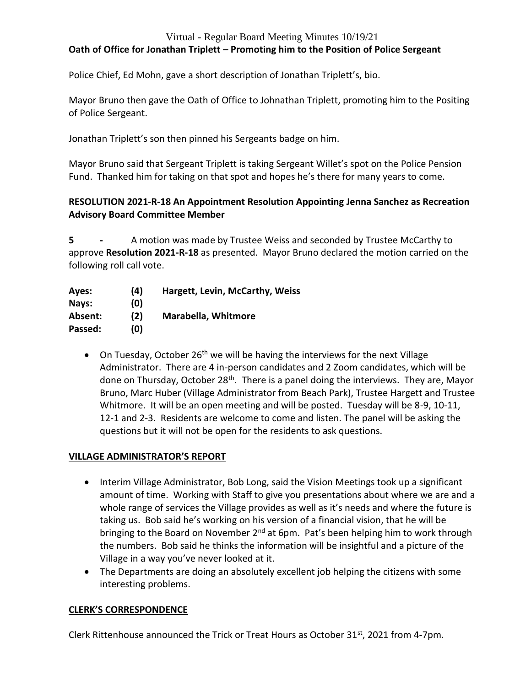#### Virtual - Regular Board Meeting Minutes 10/19/21

## **Oath of Office for Jonathan Triplett – Promoting him to the Position of Police Sergeant**

Police Chief, Ed Mohn, gave a short description of Jonathan Triplett's, bio.

Mayor Bruno then gave the Oath of Office to Johnathan Triplett, promoting him to the Positing of Police Sergeant.

Jonathan Triplett's son then pinned his Sergeants badge on him.

Mayor Bruno said that Sergeant Triplett is taking Sergeant Willet's spot on the Police Pension Fund. Thanked him for taking on that spot and hopes he's there for many years to come.

## **RESOLUTION 2021-R-18 An Appointment Resolution Appointing Jenna Sanchez as Recreation Advisory Board Committee Member**

**5 -** A motion was made by Trustee Weiss and seconded by Trustee McCarthy to approve **Resolution 2021-R-18** as presented. Mayor Bruno declared the motion carried on the following roll call vote.

| Ayes:   | (4) | Hargett, Levin, McCarthy, Weiss |
|---------|-----|---------------------------------|
| Nays:   | (0) |                                 |
| Absent: | (2) | <b>Marabella, Whitmore</b>      |
| Passed: | (0) |                                 |

• On Tuesday, October 26<sup>th</sup> we will be having the interviews for the next Village Administrator. There are 4 in-person candidates and 2 Zoom candidates, which will be done on Thursday, October 28<sup>th</sup>. There is a panel doing the interviews. They are, Mayor Bruno, Marc Huber (Village Administrator from Beach Park), Trustee Hargett and Trustee Whitmore. It will be an open meeting and will be posted. Tuesday will be 8-9, 10-11, 12-1 and 2-3. Residents are welcome to come and listen. The panel will be asking the questions but it will not be open for the residents to ask questions.

## **VILLAGE ADMINISTRATOR'S REPORT**

- Interim Village Administrator, Bob Long, said the Vision Meetings took up a significant amount of time. Working with Staff to give you presentations about where we are and a whole range of services the Village provides as well as it's needs and where the future is taking us. Bob said he's working on his version of a financial vision, that he will be bringing to the Board on November 2<sup>nd</sup> at 6pm. Pat's been helping him to work through the numbers. Bob said he thinks the information will be insightful and a picture of the Village in a way you've never looked at it.
- The Departments are doing an absolutely excellent job helping the citizens with some interesting problems.

## **CLERK'S CORRESPONDENCE**

Clerk Rittenhouse announced the Trick or Treat Hours as October 31 $st$ , 2021 from 4-7pm.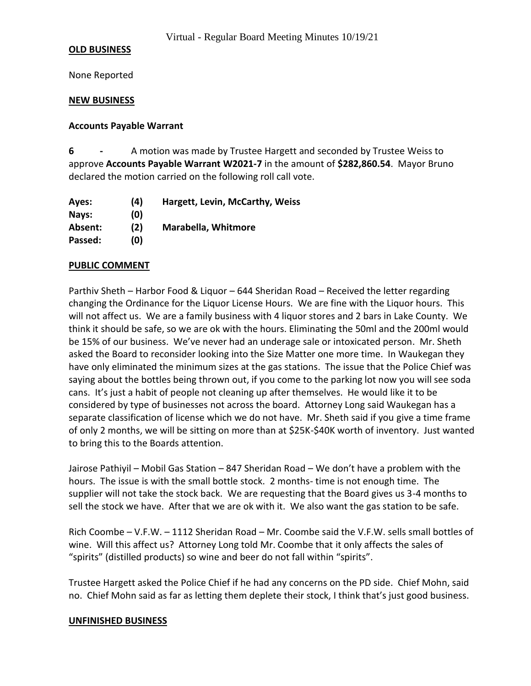#### **OLD BUSINESS**

None Reported

#### **NEW BUSINESS**

#### **Accounts Payable Warrant**

**6 -** A motion was made by Trustee Hargett and seconded by Trustee Weiss to approve **Accounts Payable Warrant W2021-7** in the amount of **\$282,860.54**. Mayor Bruno declared the motion carried on the following roll call vote.

**Ayes: (4) Hargett, Levin, McCarthy, Weiss Nays: (0) Absent: (2) Marabella, Whitmore Passed: (0)**

#### **PUBLIC COMMENT**

Parthiv Sheth – Harbor Food & Liquor – 644 Sheridan Road – Received the letter regarding changing the Ordinance for the Liquor License Hours. We are fine with the Liquor hours. This will not affect us. We are a family business with 4 liquor stores and 2 bars in Lake County. We think it should be safe, so we are ok with the hours. Eliminating the 50ml and the 200ml would be 15% of our business. We've never had an underage sale or intoxicated person. Mr. Sheth asked the Board to reconsider looking into the Size Matter one more time. In Waukegan they have only eliminated the minimum sizes at the gas stations. The issue that the Police Chief was saying about the bottles being thrown out, if you come to the parking lot now you will see soda cans. It's just a habit of people not cleaning up after themselves. He would like it to be considered by type of businesses not across the board. Attorney Long said Waukegan has a separate classification of license which we do not have. Mr. Sheth said if you give a time frame of only 2 months, we will be sitting on more than at \$25K-\$40K worth of inventory. Just wanted to bring this to the Boards attention.

Jairose Pathiyil – Mobil Gas Station – 847 Sheridan Road – We don't have a problem with the hours. The issue is with the small bottle stock. 2 months- time is not enough time. The supplier will not take the stock back. We are requesting that the Board gives us 3-4 months to sell the stock we have. After that we are ok with it. We also want the gas station to be safe.

Rich Coombe – V.F.W. – 1112 Sheridan Road – Mr. Coombe said the V.F.W. sells small bottles of wine. Will this affect us? Attorney Long told Mr. Coombe that it only affects the sales of "spirits" (distilled products) so wine and beer do not fall within "spirits".

Trustee Hargett asked the Police Chief if he had any concerns on the PD side. Chief Mohn, said no. Chief Mohn said as far as letting them deplete their stock, I think that's just good business.

#### **UNFINISHED BUSINESS**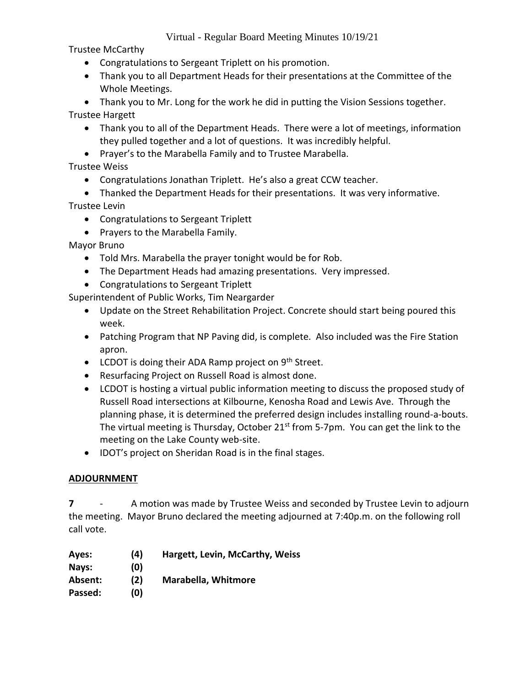Trustee McCarthy

- Congratulations to Sergeant Triplett on his promotion.
- Thank you to all Department Heads for their presentations at the Committee of the Whole Meetings.

 Thank you to Mr. Long for the work he did in putting the Vision Sessions together. Trustee Hargett

- Thank you to all of the Department Heads. There were a lot of meetings, information they pulled together and a lot of questions. It was incredibly helpful.
- Prayer's to the Marabella Family and to Trustee Marabella.

Trustee Weiss

- Congratulations Jonathan Triplett. He's also a great CCW teacher.
- Thanked the Department Heads for their presentations. It was very informative.

Trustee Levin

- Congratulations to Sergeant Triplett
- Prayers to the Marabella Family.

Mayor Bruno

- Told Mrs. Marabella the prayer tonight would be for Rob.
- The Department Heads had amazing presentations. Very impressed.
- Congratulations to Sergeant Triplett

Superintendent of Public Works, Tim Neargarder

- Update on the Street Rehabilitation Project. Concrete should start being poured this week.
- Patching Program that NP Paving did, is complete. Also included was the Fire Station apron.
- $\bullet$  LCDOT is doing their ADA Ramp project on 9<sup>th</sup> Street.
- Resurfacing Project on Russell Road is almost done.
- LCDOT is hosting a virtual public information meeting to discuss the proposed study of Russell Road intersections at Kilbourne, Kenosha Road and Lewis Ave. Through the planning phase, it is determined the preferred design includes installing round-a-bouts. The virtual meeting is Thursday, October 21<sup>st</sup> from 5-7pm. You can get the link to the meeting on the Lake County web-site.
- IDOT's project on Sheridan Road is in the final stages.

## **ADJOURNMENT**

**7** - A motion was made by Trustee Weiss and seconded by Trustee Levin to adjourn the meeting. Mayor Bruno declared the meeting adjourned at 7:40p.m. on the following roll call vote.

| Ayes:   | (4) | Hargett, Levin, McCarthy, Weiss |
|---------|-----|---------------------------------|
| Nays:   | (0) |                                 |
| Absent: | (2) | <b>Marabella, Whitmore</b>      |
| Passed: | (0) |                                 |